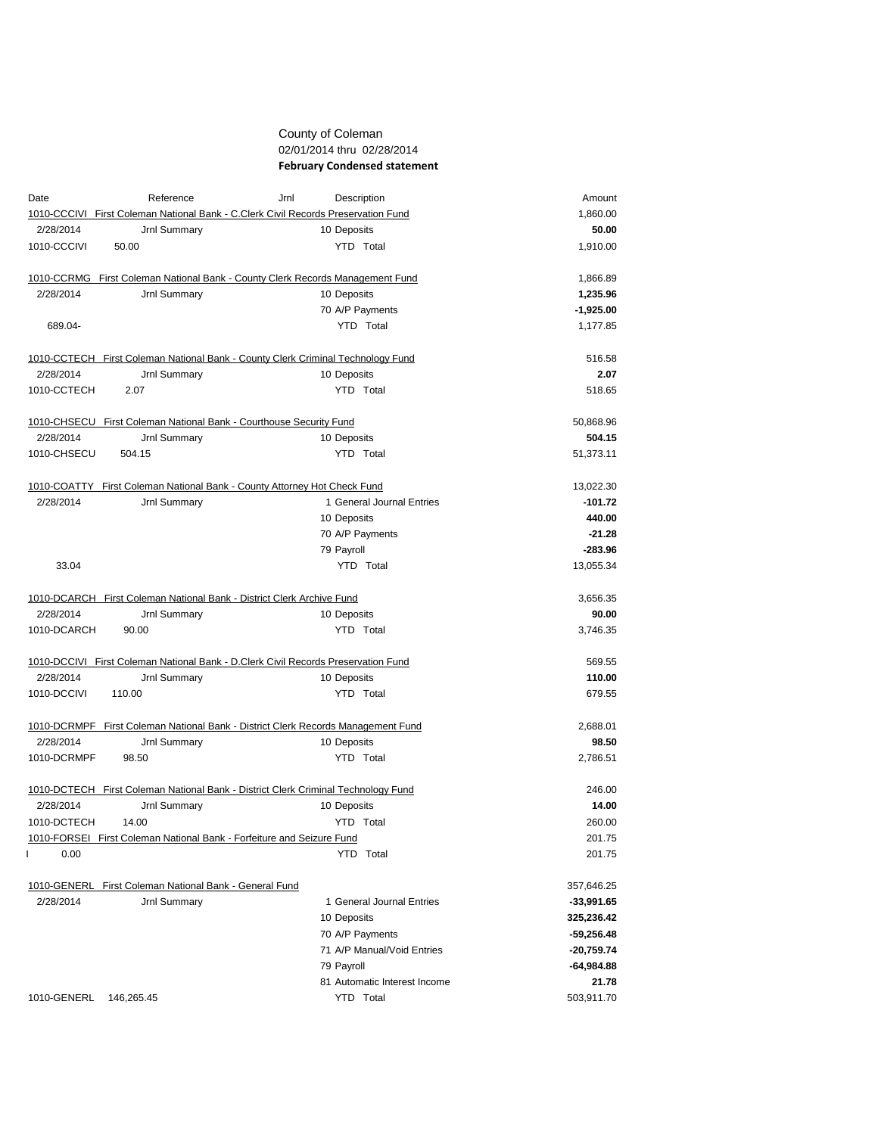## County of Coleman 02/01/2014 thru 02/28/2014 **February Condensed statement**

| Date        | Reference                                                             | Jrnl<br>Description                                                               | Amount       |
|-------------|-----------------------------------------------------------------------|-----------------------------------------------------------------------------------|--------------|
|             |                                                                       | 1010-CCCIVI First Coleman National Bank - C.Clerk Civil Records Preservation Fund | 1,860.00     |
| 2/28/2014   | Jrnl Summary                                                          | 10 Deposits                                                                       | 50.00        |
| 1010-CCCIVI | 50.00                                                                 | YTD Total                                                                         | 1,910.00     |
|             |                                                                       | 1010-CCRMG First Coleman National Bank - County Clerk Records Management Fund     | 1,866.89     |
| 2/28/2014   | Jrnl Summary                                                          | 10 Deposits                                                                       | 1,235.96     |
|             |                                                                       | 70 A/P Payments                                                                   | $-1,925.00$  |
| 689.04-     |                                                                       | YTD Total                                                                         | 1,177.85     |
|             |                                                                       | 1010-CCTECH First Coleman National Bank - County Clerk Criminal Technology Fund   | 516.58       |
| 2/28/2014   | Jrnl Summary                                                          | 10 Deposits                                                                       | 2.07         |
| 1010-CCTECH | 2.07                                                                  | YTD Total                                                                         | 518.65       |
|             | 1010-CHSECU First Coleman National Bank - Courthouse Security Fund    |                                                                                   | 50,868.96    |
| 2/28/2014   | Jrnl Summary                                                          | 10 Deposits                                                                       | 504.15       |
| 1010-CHSECU | 504.15                                                                | YTD Total                                                                         | 51,373.11    |
| 1010-COATTY | First Coleman National Bank - County Attorney Hot Check Fund          |                                                                                   | 13,022.30    |
| 2/28/2014   | Jrnl Summary                                                          | 1 General Journal Entries                                                         | $-101.72$    |
|             |                                                                       | 10 Deposits                                                                       | 440.00       |
|             |                                                                       | 70 A/P Payments                                                                   | $-21.28$     |
|             |                                                                       | 79 Payroll                                                                        | $-283.96$    |
| 33.04       |                                                                       | YTD Total                                                                         | 13,055.34    |
|             | 1010-DCARCH First Coleman National Bank - District Clerk Archive Fund |                                                                                   | 3,656.35     |
| 2/28/2014   | Jrnl Summary                                                          | 10 Deposits                                                                       | 90.00        |
| 1010-DCARCH | 90.00                                                                 | YTD Total                                                                         | 3,746.35     |
|             |                                                                       | 1010-DCCIVI First Coleman National Bank - D.Clerk Civil Records Preservation Fund | 569.55       |
| 2/28/2014   | Jrnl Summary                                                          | 10 Deposits                                                                       | 110.00       |
| 1010-DCCIVI | 110.00                                                                | YTD Total                                                                         | 679.55       |
|             |                                                                       | 1010-DCRMPF First Coleman National Bank - District Clerk Records Management Fund  | 2,688.01     |
| 2/28/2014   | Jrnl Summary                                                          | 10 Deposits                                                                       | 98.50        |
| 1010-DCRMPF | 98.50                                                                 | YTD Total                                                                         | 2,786.51     |
|             |                                                                       | 1010-DCTECH First Coleman National Bank - District Clerk Criminal Technology Fund | 246.00       |
| 2/28/2014   | Jrnl Summary                                                          | 10 Deposits                                                                       | 14.00        |
| 1010-DCTECH | 14.00                                                                 | <b>YTD</b> Total                                                                  | 260.00       |
|             | 1010-FORSEI First Coleman National Bank - Forfeiture and Seizure Fund |                                                                                   | 201.75       |
| 0.00        |                                                                       | YTD Total                                                                         | 201.75       |
|             | 1010-GENERL First Coleman National Bank - General Fund                |                                                                                   | 357,646.25   |
| 2/28/2014   | Jrnl Summary                                                          | 1 General Journal Entries                                                         | $-33,991.65$ |
|             |                                                                       | 10 Deposits                                                                       | 325,236.42   |
|             |                                                                       | 70 A/P Payments                                                                   | $-59,256.48$ |
|             |                                                                       | 71 A/P Manual/Void Entries                                                        | $-20,759.74$ |
|             |                                                                       | 79 Payroll                                                                        | $-64,984.88$ |
|             |                                                                       | 81 Automatic Interest Income                                                      | 21.78        |
| 1010-GENERL | 146,265.45                                                            | YTD Total                                                                         | 503,911.70   |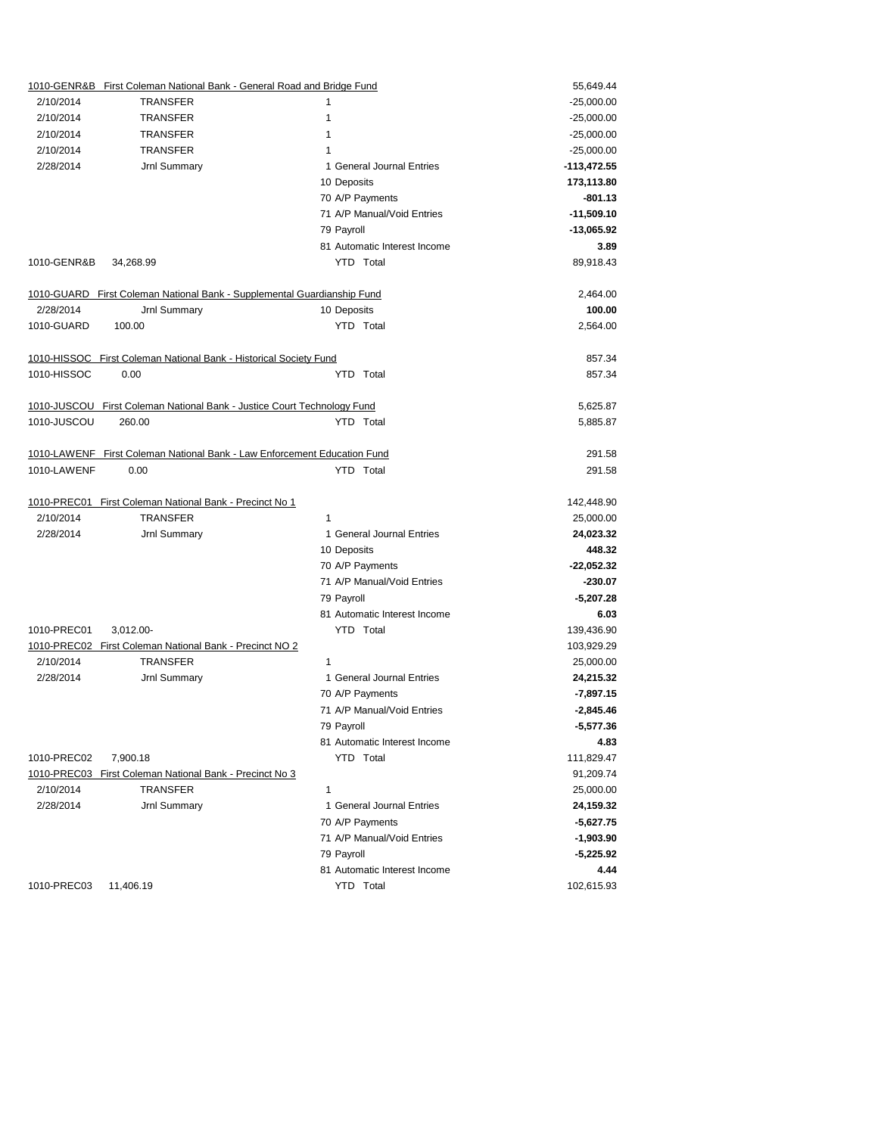|             | 1010-GENR&B First Coleman National Bank - General Road and Bridge Fund   |   | 55,649.44                    |               |
|-------------|--------------------------------------------------------------------------|---|------------------------------|---------------|
| 2/10/2014   | <b>TRANSFER</b>                                                          | 1 |                              | $-25,000.00$  |
| 2/10/2014   | <b>TRANSFER</b>                                                          | 1 |                              | $-25,000.00$  |
| 2/10/2014   | <b>TRANSFER</b>                                                          | 1 |                              | $-25,000.00$  |
| 2/10/2014   | <b>TRANSFER</b>                                                          | 1 |                              | $-25,000.00$  |
| 2/28/2014   | Jrnl Summary                                                             |   | 1 General Journal Entries    | $-113,472.55$ |
|             |                                                                          |   | 10 Deposits                  | 173,113.80    |
|             |                                                                          |   | 70 A/P Payments              | $-801.13$     |
|             |                                                                          |   | 71 A/P Manual/Void Entries   | $-11,509.10$  |
|             |                                                                          |   | 79 Payroll                   | $-13,065.92$  |
|             |                                                                          |   | 81 Automatic Interest Income | 3.89          |
| 1010-GENR&B | 34,268.99                                                                |   | YTD Total                    | 89,918.43     |
|             | 1010-GUARD First Coleman National Bank - Supplemental Guardianship Fund  |   |                              | 2,464.00      |
| 2/28/2014   | Jrnl Summary                                                             |   | 10 Deposits                  | 100.00        |
| 1010-GUARD  | 100.00                                                                   |   | YTD Total                    | 2,564.00      |
|             | 1010-HISSOC First Coleman National Bank - Historical Society Fund        |   |                              | 857.34        |
| 1010-HISSOC | 0.00                                                                     |   | YTD Total                    | 857.34        |
|             | 1010-JUSCOU First Coleman National Bank - Justice Court Technology Fund  |   |                              | 5,625.87      |
| 1010-JUSCOU | 260.00                                                                   |   | YTD Total                    | 5,885.87      |
|             | 1010-LAWENF First Coleman National Bank - Law Enforcement Education Fund |   |                              | 291.58        |
| 1010-LAWENF | 0.00                                                                     |   | YTD Total                    | 291.58        |
|             |                                                                          |   |                              |               |
|             | 1010-PREC01 First Coleman National Bank - Precinct No 1                  |   |                              | 142,448.90    |
| 2/10/2014   | <b>TRANSFER</b>                                                          | 1 |                              | 25,000.00     |
| 2/28/2014   | Jrnl Summary                                                             |   | 1 General Journal Entries    | 24,023.32     |
|             |                                                                          |   | 10 Deposits                  | 448.32        |
|             |                                                                          |   | 70 A/P Payments              | $-22,052.32$  |
|             |                                                                          |   | 71 A/P Manual/Void Entries   | $-230.07$     |
|             |                                                                          |   | 79 Payroll                   | $-5,207.28$   |
|             |                                                                          |   | 81 Automatic Interest Income | 6.03          |
| 1010-PREC01 | 3,012.00-                                                                |   | YTD Total                    | 139,436.90    |
|             | 1010-PREC02 First Coleman National Bank - Precinct NO 2                  |   |                              | 103,929.29    |
| 2/10/2014   | <b>TRANSFER</b>                                                          | 1 |                              | 25,000.00     |
| 2/28/2014   | Jrnl Summary                                                             |   | 1 General Journal Entries    | 24,215.32     |
|             |                                                                          |   | 70 A/P Payments              | $-7,897.15$   |
|             |                                                                          |   | 71 A/P Manual/Void Entries   | $-2,845.46$   |
|             |                                                                          |   | 79 Payroll                   | $-5,577.36$   |
|             |                                                                          |   | 81 Automatic Interest Income | 4.83          |
| 1010-PREC02 | 7,900.18                                                                 |   | YTD Total                    | 111,829.47    |
|             | 1010-PREC03 First Coleman National Bank - Precinct No 3                  |   |                              | 91,209.74     |
| 2/10/2014   | <b>TRANSFER</b>                                                          | 1 |                              | 25,000.00     |
| 2/28/2014   | Jrnl Summary                                                             |   | 1 General Journal Entries    | 24,159.32     |
|             |                                                                          |   | 70 A/P Payments              | $-5,627.75$   |
|             |                                                                          |   | 71 A/P Manual/Void Entries   | $-1,903.90$   |
|             |                                                                          |   | 79 Payroll                   | $-5,225.92$   |
|             |                                                                          |   | 81 Automatic Interest Income | 4.44          |
| 1010-PREC03 | 11,406.19                                                                |   | YTD Total                    | 102,615.93    |